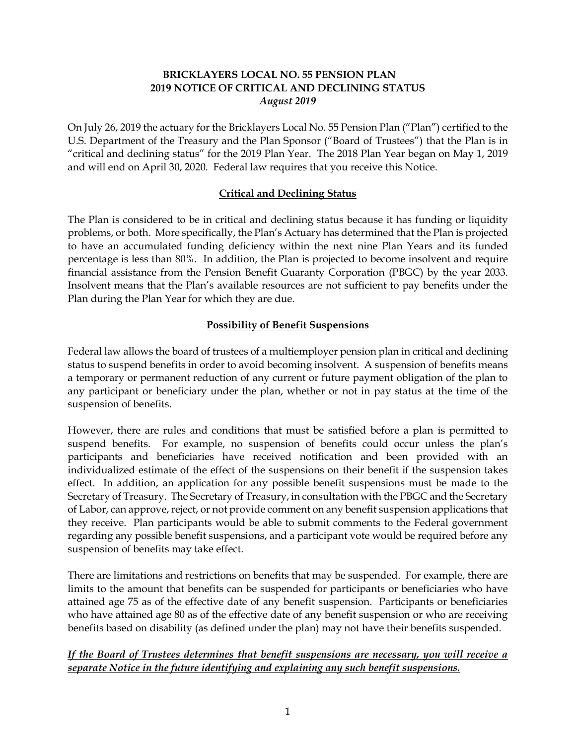# **BRICKLAYERS LOCAL NO. 55 PENSION PLAN 2019 NOTICE OF CRITICAL AND DECLINING STATUS** *August 2019*

On July 26, 2019 the actuary for the Bricklayers Local No. 55 Pension Plan ("Plan") certified to the U.S. Department of the Treasury and the Plan Sponsor ("Board of Trustees") that the Plan is in "critical and declining status" for the 2019 Plan Year. The 2018 Plan Year began on May 1, 2019 and will end on April 30, 2020. Federal law requires that you receive this Notice.

#### **Critical and Declining Status**

The Plan is considered to be in critical and declining status because it has funding or liquidity problems, or both. More specifically, the Plan's Actuary has determined that the Plan is projected to have an accumulated funding deficiency within the next nine Plan Years and its funded percentage is less than 80%. In addition, the Plan is projected to become insolvent and require financial assistance from the Pension Benefit Guaranty Corporation (PBGC) by the year 2033. Insolvent means that the Plan's available resources are not sufficient to pay benefits under the Plan during the Plan Year for which they are due.

## **Possibility of Benefit Suspensions**

Federal law allows the board of trustees of a multiemployer pension plan in critical and declining status to suspend benefits in order to avoid becoming insolvent. A suspension of benefits means a temporary or permanent reduction of any current or future payment obligation of the plan to any participant or beneficiary under the plan, whether or not in pay status at the time of the suspension of benefits.

However, there are rules and conditions that must be satisfied before a plan is permitted to suspend benefits. For example, no suspension of benefits could occur unless the plan's participants and beneficiaries have received notification and been provided with an individualized estimate of the effect of the suspensions on their benefit if the suspension takes effect. In addition, an application for any possible benefit suspensions must be made to the Secretary of Treasury. The Secretary of Treasury, in consultation with the PBGC and the Secretary of Labor, can approve, reject, or not provide comment on any benefit suspension applications that they receive. Plan participants would be able to submit comments to the Federal government regarding any possible benefit suspensions, and a participant vote would be required before any suspension of benefits may take effect.

There are limitations and restrictions on benefits that may be suspended. For example, there are limits to the amount that benefits can be suspended for participants or beneficiaries who have attained age 75 as of the effective date of any benefit suspension. Participants or beneficiaries who have attained age 80 as of the effective date of any benefit suspension or who are receiving benefits based on disability (as defined under the plan) may not have their benefits suspended.

## *If the Board of Trustees determines that benefit suspensions are necessary, you will receive a separate Notice in the future identifying and explaining any such benefit suspensions.*